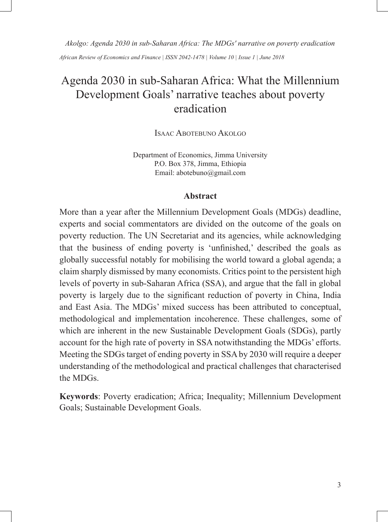*Akolgo: Agenda 2030 in sub-Saharan Africa: The MDGs' narrative on poverty eradication African Review of Economics and Finance | ISSN 2042-1478 | Volume 10 | Issue 1 | June 2018*

# Agenda 2030 in sub-Saharan Africa: What the Millennium Development Goals' narrative teaches about poverty eradication

Isaac Abotebuno Akolgo

Department of Economics, Jimma University P.O. Box 378, Jimma, Ethiopia Email: abotebuno@gmail.com

### **Abstract**

More than a year after the Millennium Development Goals (MDGs) deadline, experts and social commentators are divided on the outcome of the goals on poverty reduction. The UN Secretariat and its agencies, while acknowledging that the business of ending poverty is 'unfinished,' described the goals as globally successful notably for mobilising the world toward a global agenda; a claim sharply dismissed by many economists. Critics point to the persistent high levels of poverty in sub-Saharan Africa (SSA), and argue that the fall in global poverty is largely due to the significant reduction of poverty in China, India and East Asia. The MDGs' mixed success has been attributed to conceptual, methodological and implementation incoherence. These challenges, some of which are inherent in the new Sustainable Development Goals (SDGs), partly account for the high rate of poverty in SSA notwithstanding the MDGs' efforts. Meeting the SDGs target of ending poverty in SSA by 2030 will require a deeper understanding of the methodological and practical challenges that characterised the MDGs.

**Keywords**: Poverty eradication; Africa; Inequality; Millennium Development Goals; Sustainable Development Goals.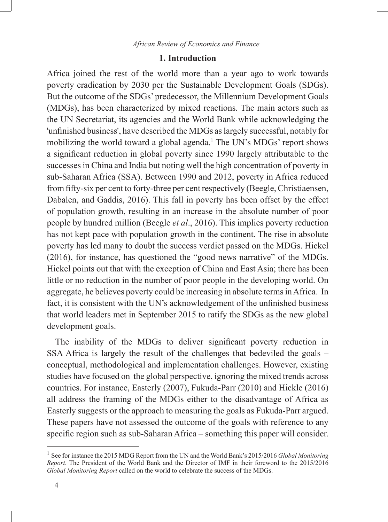# **1. Introduction**

Africa joined the rest of the world more than a year ago to work towards poverty eradication by 2030 per the Sustainable Development Goals (SDGs). But the outcome of the SDGs' predecessor, the Millennium Development Goals (MDGs), has been characterized by mixed reactions. The main actors such as the UN Secretariat, its agencies and the World Bank while acknowledging the 'unfinished business', have described the MDGs as largely successful, notably for mobilizing the world toward a global agenda.<sup>1</sup> The UN's MDGs' report shows a significant reduction in global poverty since 1990 largely attributable to the successes in China and India but noting well the high concentration of poverty in sub-Saharan Africa (SSA). Between 1990 and 2012, poverty in Africa reduced from fifty-six per cent to forty-three per cent respectively (Beegle, Christiaensen, Dabalen, and Gaddis, 2016). This fall in poverty has been offset by the effect of population growth, resulting in an increase in the absolute number of poor people by hundred million (Beegle *et al*., 2016). This implies poverty reduction has not kept pace with population growth in the continent. The rise in absolute poverty has led many to doubt the success verdict passed on the MDGs. Hickel (2016), for instance, has questioned the "good news narrative" of the MDGs. Hickel points out that with the exception of China and East Asia; there has been little or no reduction in the number of poor people in the developing world. On aggregate, he believes poverty could be increasing in absolute terms in Africa. In fact, it is consistent with the UN's acknowledgement of the unfinished business that world leaders met in September 2015 to ratify the SDGs as the new global development goals.

The inability of the MDGs to deliver significant poverty reduction in SSA Africa is largely the result of the challenges that bedeviled the goals – conceptual, methodological and implementation challenges. However, existing studies have focused on the global perspective, ignoring the mixed trends across countries. For instance, Easterly (2007), Fukuda-Parr (2010) and Hickle (2016) all address the framing of the MDGs either to the disadvantage of Africa as Easterly suggests or the approach to measuring the goals as Fukuda-Parr argued. These papers have not assessed the outcome of the goals with reference to any specific region such as sub-Saharan Africa – something this paper will consider.

<sup>1</sup> See for instance the 2015 MDG Report from the UN and the World Bank's 2015/2016 *Global Monitoring Report*. The President of the World Bank and the Director of IMF in their foreword to the 2015/2016 *Global Monitoring Report* called on the world to celebrate the success of the MDGs.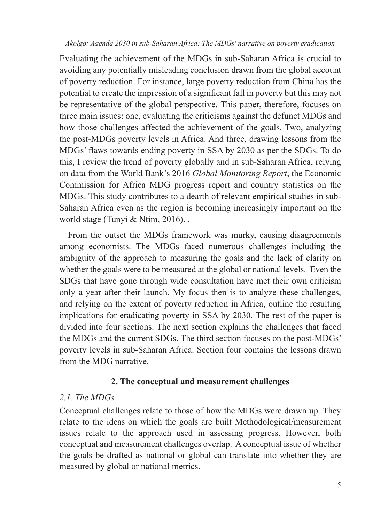Evaluating the achievement of the MDGs in sub-Saharan Africa is crucial to avoiding any potentially misleading conclusion drawn from the global account of poverty reduction. For instance, large poverty reduction from China has the potential to create the impression of a significant fall in poverty but this may not be representative of the global perspective. This paper, therefore, focuses on three main issues: one, evaluating the criticisms against the defunct MDGs and how those challenges affected the achievement of the goals. Two, analyzing the post-MDGs poverty levels in Africa. And three, drawing lessons from the MDGs' flaws towards ending poverty in SSA by 2030 as per the SDGs. To do this, I review the trend of poverty globally and in sub-Saharan Africa, relying on data from the World Bank's 2016 *Global Monitoring Report*, the Economic Commission for Africa MDG progress report and country statistics on the MDGs. This study contributes to a dearth of relevant empirical studies in sub-Saharan Africa even as the region is becoming increasingly important on the world stage (Tunyi & Ntim, 2016). .

From the outset the MDGs framework was murky, causing disagreements among economists. The MDGs faced numerous challenges including the ambiguity of the approach to measuring the goals and the lack of clarity on whether the goals were to be measured at the global or national levels. Even the SDGs that have gone through wide consultation have met their own criticism only a year after their launch. My focus then is to analyze these challenges, and relying on the extent of poverty reduction in Africa, outline the resulting implications for eradicating poverty in SSA by 2030. The rest of the paper is divided into four sections. The next section explains the challenges that faced the MDGs and the current SDGs. The third section focuses on the post-MDGs' poverty levels in sub-Saharan Africa. Section four contains the lessons drawn from the MDG narrative.

## **2. The conceptual and measurement challenges**

# *2.1. The MDGs*

Conceptual challenges relate to those of how the MDGs were drawn up. They relate to the ideas on which the goals are built Methodological/measurement issues relate to the approach used in assessing progress. However, both conceptual and measurement challenges overlap. A conceptual issue of whether the goals be drafted as national or global can translate into whether they are measured by global or national metrics.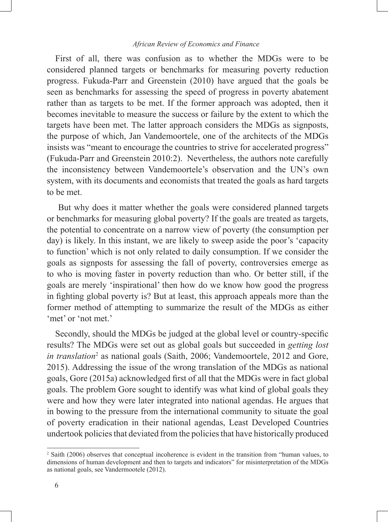### *African Review of Economics and Finance*

First of all, there was confusion as to whether the MDGs were to be considered planned targets or benchmarks for measuring poverty reduction progress. Fukuda-Parr and Greenstein (2010) have argued that the goals be seen as benchmarks for assessing the speed of progress in poverty abatement rather than as targets to be met. If the former approach was adopted, then it becomes inevitable to measure the success or failure by the extent to which the targets have been met. The latter approach considers the MDGs as signposts, the purpose of which, Jan Vandemoortele, one of the architects of the MDGs insists was "meant to encourage the countries to strive for accelerated progress" (Fukuda-Parr and Greenstein 2010:2). Nevertheless, the authors note carefully the inconsistency between Vandemoortele's observation and the UN's own system, with its documents and economists that treated the goals as hard targets to be met.

 But why does it matter whether the goals were considered planned targets or benchmarks for measuring global poverty? If the goals are treated as targets, the potential to concentrate on a narrow view of poverty (the consumption per day) is likely. In this instant, we are likely to sweep aside the poor's 'capacity to function' which is not only related to daily consumption. If we consider the goals as signposts for assessing the fall of poverty, controversies emerge as to who is moving faster in poverty reduction than who. Or better still, if the goals are merely 'inspirational' then how do we know how good the progress in fighting global poverty is? But at least, this approach appeals more than the former method of attempting to summarize the result of the MDGs as either 'met' or 'not met.'

Secondly, should the MDGs be judged at the global level or country-specific results? The MDGs were set out as global goals but succeeded in *getting lost*  in translation<sup>2</sup> as national goals (Saith, 2006; Vandemoortele, 2012 and Gore, 2015). Addressing the issue of the wrong translation of the MDGs as national goals, Gore (2015a) acknowledged first of all that the MDGs were in fact global goals. The problem Gore sought to identify was what kind of global goals they were and how they were later integrated into national agendas. He argues that in bowing to the pressure from the international community to situate the goal of poverty eradication in their national agendas, Least Developed Countries undertook policies that deviated from the policies that have historically produced

<sup>2</sup> Saith (2006) observes that conceptual incoherence is evident in the transition from "human values, to dimensions of human development and then to targets and indicators" for misinterpretation of the MDGs as national goals, see Vandermootele (2012).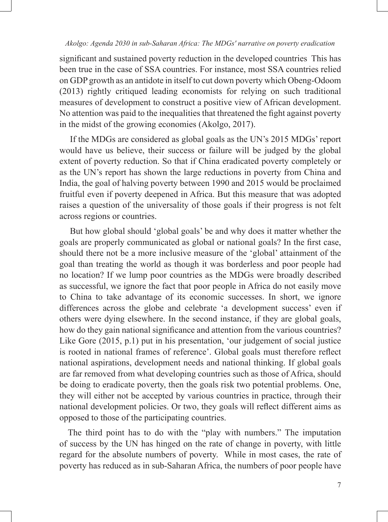significant and sustained poverty reduction in the developed countries This has been true in the case of SSA countries. For instance, most SSA countries relied on GDP growth as an antidote in itself to cut down poverty which Obeng-Odoom (2013) rightly critiqued leading economists for relying on such traditional measures of development to construct a positive view of African development. No attention was paid to the inequalities that threatened the fight against poverty in the midst of the growing economies (Akolgo, 2017).

If the MDGs are considered as global goals as the UN's 2015 MDGs' report would have us believe, their success or failure will be judged by the global extent of poverty reduction. So that if China eradicated poverty completely or as the UN's report has shown the large reductions in poverty from China and India, the goal of halving poverty between 1990 and 2015 would be proclaimed fruitful even if poverty deepened in Africa. But this measure that was adopted raises a question of the universality of those goals if their progress is not felt across regions or countries.

But how global should 'global goals' be and why does it matter whether the goals are properly communicated as global or national goals? In the first case, should there not be a more inclusive measure of the 'global' attainment of the goal than treating the world as though it was borderless and poor people had no location? If we lump poor countries as the MDGs were broadly described as successful, we ignore the fact that poor people in Africa do not easily move to China to take advantage of its economic successes. In short, we ignore differences across the globe and celebrate 'a development success' even if others were dying elsewhere. In the second instance, if they are global goals, how do they gain national significance and attention from the various countries? Like Gore (2015, p.1) put in his presentation, 'our judgement of social justice is rooted in national frames of reference'. Global goals must therefore reflect national aspirations, development needs and national thinking. If global goals are far removed from what developing countries such as those of Africa, should be doing to eradicate poverty, then the goals risk two potential problems. One, they will either not be accepted by various countries in practice, through their national development policies. Or two, they goals will reflect different aims as opposed to those of the participating countries.

The third point has to do with the "play with numbers." The imputation of success by the UN has hinged on the rate of change in poverty, with little regard for the absolute numbers of poverty. While in most cases, the rate of poverty has reduced as in sub-Saharan Africa, the numbers of poor people have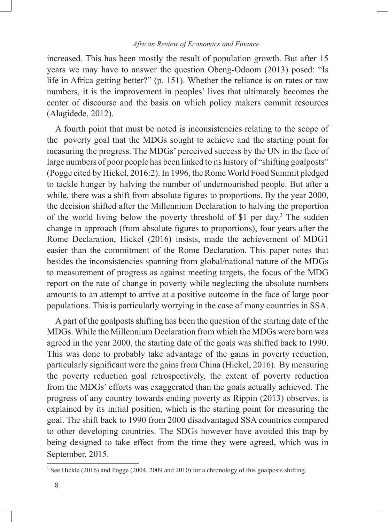increased. This has been mostly the result of population growth. But after 15 years we may have to answer the question Obeng-Odoom (2013) posed: "Is life in Africa getting better?" (p. 151). Whether the reliance is on rates or raw numbers, it is the improvement in peoples' lives that ultimately becomes the center of discourse and the basis on which policy makers commit resources (Alagidede, 2012).

A fourth point that must be noted is inconsistencies relating to the scope of the poverty goal that the MDGs sought to achieve and the starting point for measuring the progress. The MDGs' perceived success by the UN in the face of large numbers of poor people has been linked to its history of "shifting goalposts" (Pogge cited by Hickel, 2016:2). In 1996, the Rome World Food Summit pledged to tackle hunger by halving the number of undernourished people. But after a while, there was a shift from absolute figures to proportions. By the year 2000, the decision shifted after the Millennium Declaration to halving the proportion of the world living below the poverty threshold of \$1 per day.<sup>3</sup> The sudden change in approach (from absolute figures to proportions), four years after the Rome Declaration, Hickel (2016) insists, made the achievement of MDG1 easier than the commitment of the Rome Declaration. This paper notes that besides the inconsistencies spanning from global/national nature of the MDGs to measurement of progress as against meeting targets, the focus of the MDG report on the rate of change in poverty while neglecting the absolute numbers amounts to an attempt to arrive at a positive outcome in the face of large poor populations. This is particularly worrying in the case of many countries in SSA.

A part of the goalposts shifting has been the question of the starting date of the MDGs. While the Millennium Declaration from which the MDGs were born was agreed in the year 2000, the starting date of the goals was shifted back to 1990. This was done to probably take advantage of the gains in poverty reduction, particularly significant were the gains from China (Hickel, 2016). By measuring the poverty reduction goal retrospectively, the extent of poverty reduction from the MDGs' efforts was exaggerated than the goals actually achieved. The progress of any country towards ending poverty as Rippin (2013) observes, is explained by its initial position, which is the starting point for measuring the goal. The shift back to 1990 from 2000 disadvantaged SSA countries compared to other developing countries. The SDGs however have avoided this trap by being designed to take effect from the time they were agreed, which was in September, 2015.

<sup>&</sup>lt;sup>3</sup> See Hickle (2016) and Pogge (2004, 2009 and 2010) for a chronology of this goalposts shifting.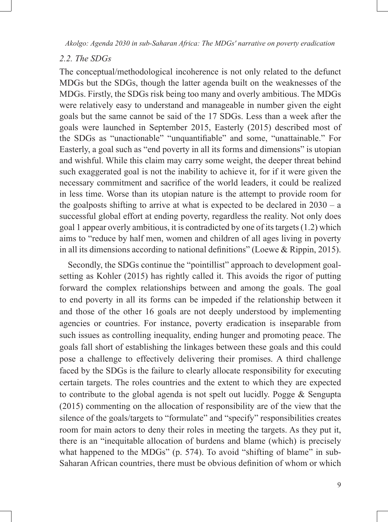### *2.2. The SDGs*

The conceptual/methodological incoherence is not only related to the defunct MDGs but the SDGs, though the latter agenda built on the weaknesses of the MDGs. Firstly, the SDGs risk being too many and overly ambitious. The MDGs were relatively easy to understand and manageable in number given the eight goals but the same cannot be said of the 17 SDGs. Less than a week after the goals were launched in September 2015, Easterly (2015) described most of the SDGs as "unactionable" "unquantifiable" and some, "unattainable." For Easterly, a goal such as "end poverty in all its forms and dimensions" is utopian and wishful. While this claim may carry some weight, the deeper threat behind such exaggerated goal is not the inability to achieve it, for if it were given the necessary commitment and sacrifice of the world leaders, it could be realized in less time. Worse than its utopian nature is the attempt to provide room for the goalposts shifting to arrive at what is expected to be declared in  $2030 - a$ successful global effort at ending poverty, regardless the reality. Not only does goal 1 appear overly ambitious, it is contradicted by one of its targets (1.2) which aims to "reduce by half men, women and children of all ages living in poverty in all its dimensions according to national definitions" (Loewe & Rippin, 2015).

Secondly, the SDGs continue the "pointillist" approach to development goalsetting as Kohler (2015) has rightly called it. This avoids the rigor of putting forward the complex relationships between and among the goals. The goal to end poverty in all its forms can be impeded if the relationship between it and those of the other 16 goals are not deeply understood by implementing agencies or countries. For instance, poverty eradication is inseparable from such issues as controlling inequality, ending hunger and promoting peace. The goals fall short of establishing the linkages between these goals and this could pose a challenge to effectively delivering their promises. A third challenge faced by the SDGs is the failure to clearly allocate responsibility for executing certain targets. The roles countries and the extent to which they are expected to contribute to the global agenda is not spelt out lucidly. Pogge & Sengupta (2015) commenting on the allocation of responsibility are of the view that the silence of the goals/targets to "formulate" and "specify" responsibilities creates room for main actors to deny their roles in meeting the targets. As they put it, there is an "inequitable allocation of burdens and blame (which) is precisely what happened to the MDGs" (p. 574). To avoid "shifting of blame" in sub-Saharan African countries, there must be obvious definition of whom or which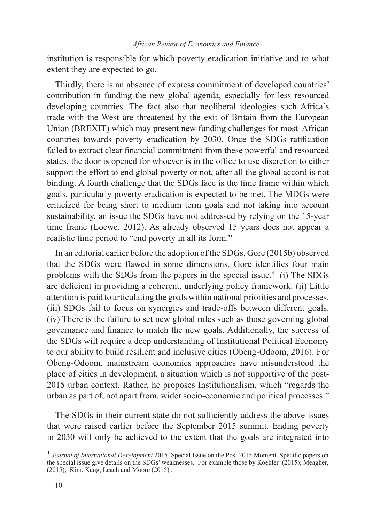institution is responsible for which poverty eradication initiative and to what extent they are expected to go.

Thirdly, there is an absence of express commitment of developed countries' contribution in funding the new global agenda, especially for less resourced developing countries. The fact also that neoliberal ideologies such Africa's trade with the West are threatened by the exit of Britain from the European Union (BREXIT) which may present new funding challenges for most African countries towards poverty eradication by 2030. Once the SDGs ratification failed to extract clear financial commitment from these powerful and resourced states, the door is opened for whoever is in the office to use discretion to either support the effort to end global poverty or not, after all the global accord is not binding. A fourth challenge that the SDGs face is the time frame within which goals, particularly poverty eradication is expected to be met. The MDGs were criticized for being short to medium term goals and not taking into account sustainability, an issue the SDGs have not addressed by relying on the 15-year time frame (Loewe, 2012). As already observed 15 years does not appear a realistic time period to "end poverty in all its form."

In an editorial earlier before the adoption of the SDGs, Gore (2015b) observed that the SDGs were flawed in some dimensions. Gore identifies four main problems with the SDGs from the papers in the special issue.<sup>4</sup> (i) The SDGs are deficient in providing a coherent, underlying policy framework. (ii) Little attention is paid to articulating the goals within national priorities and processes. (iii) SDGs fail to focus on synergies and trade-offs between different goals. (iv) There is the failure to set new global rules such as those governing global governance and finance to match the new goals. Additionally, the success of the SDGs will require a deep understanding of Institutional Political Economy to our ability to build resilient and inclusive cities (Obeng-Odoom, 2016). For Obeng-Odoom, mainstream economics approaches have misunderstood the place of cities in development, a situation which is not supportive of the post-2015 urban context. Rather, he proposes Institutionalism, which "regards the urban as part of, not apart from, wider socio-economic and political processes."

The SDGs in their current state do not sufficiently address the above issues that were raised earlier before the September 2015 summit. Ending poverty in 2030 will only be achieved to the extent that the goals are integrated into

<sup>4</sup> *Journal of International Development* 2015 Special Issue on the Post 2015 Moment. Specific papers on the special issue give details on the SDGs' weaknesses. For example those by Koehler (2015); Meagher,  $(2015)$ ; Kim, Kang, Leach and Moore  $(2015)$ .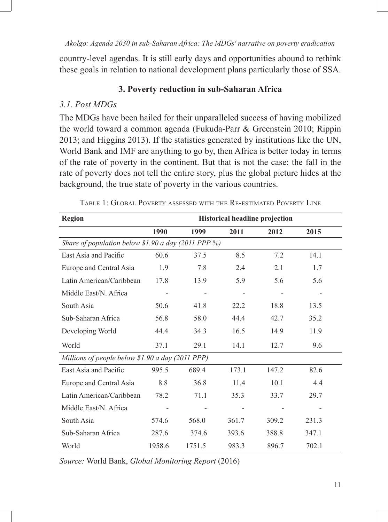country-level agendas. It is still early days and opportunities abound to rethink these goals in relation to national development plans particularly those of SSA.

# **3. Poverty reduction in sub-Saharan Africa**

# *3.1. Post MDGs*

The MDGs have been hailed for their unparalleled success of having mobilized the world toward a common agenda (Fukuda-Parr & Greenstein 2010; Rippin 2013; and Higgins 2013). If the statistics generated by institutions like the UN, World Bank and IMF are anything to go by, then Africa is better today in terms of the rate of poverty in the continent. But that is not the case: the fall in the rate of poverty does not tell the entire story, plus the global picture hides at the background, the true state of poverty in the various countries.

| <b>Region</b>                                       | <b>Historical headline projection</b> |        |       |       |       |  |  |  |  |
|-----------------------------------------------------|---------------------------------------|--------|-------|-------|-------|--|--|--|--|
|                                                     | 1990                                  | 1999   | 2011  | 2012  | 2015  |  |  |  |  |
| Share of population below \$1.90 a day (2011 PPP %) |                                       |        |       |       |       |  |  |  |  |
| East Asia and Pacific                               | 60.6                                  | 37.5   | 8.5   | 7.2   | 14.1  |  |  |  |  |
| Europe and Central Asia                             | 1.9                                   | 7.8    | 2.4   | 2.1   | 1.7   |  |  |  |  |
| Latin American/Caribbean                            | 17.8                                  | 13.9   | 5.9   | 5.6   | 5.6   |  |  |  |  |
| Middle East/N. Africa                               |                                       |        | -     |       |       |  |  |  |  |
| South Asia                                          | 50.6                                  | 41.8   | 22.2  | 18.8  | 13.5  |  |  |  |  |
| Sub-Saharan Africa                                  | 56.8                                  | 58.0   | 44.4  | 42.7  | 35.2  |  |  |  |  |
| Developing World                                    | 44.4                                  | 34.3   | 16.5  | 14.9  | 11.9  |  |  |  |  |
| World                                               | 37.1                                  | 29.1   | 14.1  | 12.7  | 9.6   |  |  |  |  |
| Millions of people below \$1.90 a day (2011 PPP)    |                                       |        |       |       |       |  |  |  |  |
| East Asia and Pacific                               | 995.5                                 | 689.4  | 173.1 | 147.2 | 82.6  |  |  |  |  |
| Europe and Central Asia                             | 8.8                                   | 36.8   | 11.4  | 10.1  | 4.4   |  |  |  |  |
| Latin American/Caribbean                            | 78.2                                  | 71.1   | 35.3  | 33.7  | 29.7  |  |  |  |  |
| Middle East/N. Africa                               |                                       |        |       |       |       |  |  |  |  |
| South Asia                                          | 574.6                                 | 568.0  | 361.7 | 309.2 | 231.3 |  |  |  |  |
| Sub-Saharan Africa                                  | 287.6                                 | 374.6  | 393.6 | 388.8 | 347.1 |  |  |  |  |
| World                                               | 1958.6                                | 1751.5 | 983.3 | 896.7 | 702.1 |  |  |  |  |

Table 1: Global Poverty assessed with the Re-estimated Poverty Line

*Source:* World Bank, *Global Monitoring Report* (2016)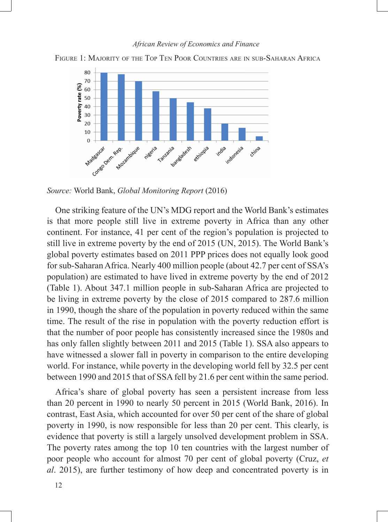#### *African Review of Economics and Finance*



FIGURE 1: MAJORITY OF THE TOP TEN POOR COUNTRIES ARE IN SUB-SAHARAN AFRICA

*Source:* World Bank, *Global Monitoring Report* (2016)

One striking feature of the UN's MDG report and the World Bank's estimates is that more people still live in extreme poverty in Africa than any other continent. For instance, 41 per cent of the region's population is projected to still live in extreme poverty by the end of 2015 (UN, 2015). The World Bank's global poverty estimates based on 2011 PPP prices does not equally look good for sub-Saharan Africa. Nearly 400 million people (about 42.7 per cent of SSA's population) are estimated to have lived in extreme poverty by the end of 2012 (Table 1). About 347.1 million people in sub-Saharan Africa are projected to be living in extreme poverty by the close of 2015 compared to 287.6 million in 1990, though the share of the population in poverty reduced within the same time. The result of the rise in population with the poverty reduction effort is that the number of poor people has consistently increased since the 1980s and has only fallen slightly between 2011 and 2015 (Table 1). SSA also appears to have witnessed a slower fall in poverty in comparison to the entire developing world. For instance, while poverty in the developing world fell by 32.5 per cent between 1990 and 2015 that of SSA fell by 21.6 per cent within the same period.

Africa's share of global poverty has seen a persistent increase from less than 20 percent in 1990 to nearly 50 percent in 2015 (World Bank, 2016). In contrast, East Asia, which accounted for over 50 per cent of the share of global poverty in 1990, is now responsible for less than 20 per cent. This clearly, is evidence that poverty is still a largely unsolved development problem in SSA. The poverty rates among the top 10 ten countries with the largest number of poor people who account for almost 70 per cent of global poverty (Cruz, *et al*. 2015), are further testimony of how deep and concentrated poverty is in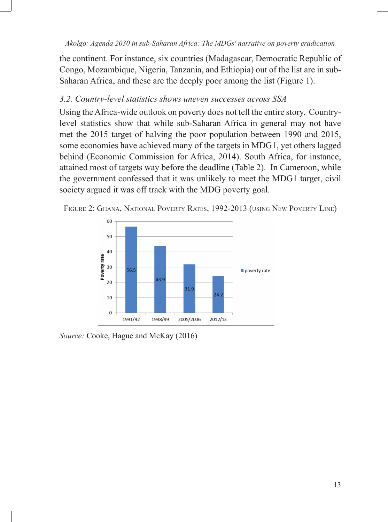the continent. For instance, six countries (Madagascar, Democratic Republic of Congo, Mozambique, Nigeria, Tanzania, and Ethiopia) out of the list are in sub-Saharan Africa, and these are the deeply poor among the list (Figure 1).

# *3.2. Country-level statistics shows uneven successes across SSA*

Using the Africa-wide outlook on poverty does not tell the entire story. Countrylevel statistics show that while sub-Saharan Africa in general may not have met the 2015 target of halving the poor population between 1990 and 2015, some economies have achieved many of the targets in MDG1, yet others lagged behind (Economic Commission for Africa, 2014). South Africa, for instance, attained most of targets way before the deadline (Table 2). In Cameroon, while the government confessed that it was unlikely to meet the MDG1 target, civil society argued it was off track with the MDG poverty goal.



FIGURE 2: GHANA, NATIONAL POVERTY RATES, 1992-2013 (USING NEW POVERTY LINE)

*Source:* Cooke, Hague and McKay (2016)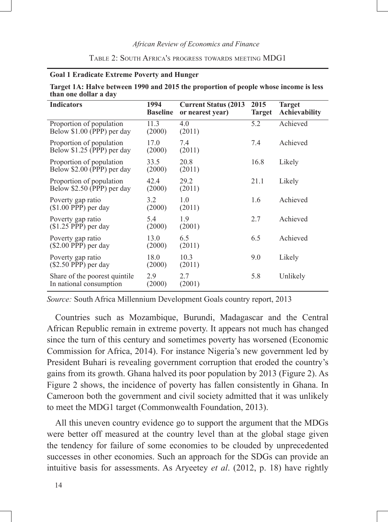#### *African Review of Economics and Finance*

#### Table 2: South Africa's progress towards meeting MDG1

#### **Goal 1 Eradicate Extreme Poverty and Hunger**

| Target 1A: Halve between 1990 and 2015 the proportion of people whose income is less |  |  |
|--------------------------------------------------------------------------------------|--|--|
| than one dollar a day                                                                |  |  |

| <b>Indicators</b>                                        | 1994<br><b>Baseline</b> | <b>Current Status (2013)</b><br>or nearest year) | 2015<br><b>Target</b> | <b>Target</b><br>Achievability |
|----------------------------------------------------------|-------------------------|--------------------------------------------------|-----------------------|--------------------------------|
| Proportion of population<br>Below \$1.00 (PPP) per day   | 11.3<br>(2000)          | 4.0<br>(2011)                                    | 5.2                   | Achieved                       |
| Proportion of population<br>Below \$1.25 (PPP) per day   | 17.0<br>(2000)          | 7.4<br>(2011)                                    | 7.4                   | Achieved                       |
| Proportion of population<br>Below \$2.00 (PPP) per day   | 33.5<br>(2000)          | 20.8<br>(2011)                                   | 16.8                  | Likely                         |
| Proportion of population<br>Below \$2.50 (PPP) per day   | 42.4<br>(2000)          | 29.2<br>(2011)                                   | 21.1                  | Likely                         |
| Poverty gap ratio<br>$(S1.00$ PPP) per day               | 3.2<br>(2000)           | 1.0<br>(2011)                                    | 1.6                   | Achieved                       |
| Poverty gap ratio<br>$($1.25$ PPP) per day               | 5.4<br>(2000)           | 1.9<br>(2001)                                    | 2.7                   | Achieved                       |
| Poverty gap ratio<br>$(\$2.00$ PPP) per day              | 13.0<br>(2000)          | 6.5<br>(2011)                                    | 6.5                   | Achieved                       |
| Poverty gap ratio<br>(\$2.50 PPP) per day                | 18.0<br>(2000)          | 10.3<br>(2011)                                   | 9.0                   | Likely                         |
| Share of the poorest quintile<br>In national consumption | 2.9<br>(2000)           | 2.7<br>(2001)                                    | 5.8                   | Unlikely                       |

*Source:* South Africa Millennium Development Goals country report, 2013

Countries such as Mozambique, Burundi, Madagascar and the Central African Republic remain in extreme poverty. It appears not much has changed since the turn of this century and sometimes poverty has worsened (Economic Commission for Africa, 2014). For instance Nigeria's new government led by President Buhari is revealing government corruption that eroded the country's gains from its growth. Ghana halved its poor population by 2013 (Figure 2). As Figure 2 shows, the incidence of poverty has fallen consistently in Ghana. In Cameroon both the government and civil society admitted that it was unlikely to meet the MDG1 target (Commonwealth Foundation, 2013).

All this uneven country evidence go to support the argument that the MDGs were better off measured at the country level than at the global stage given the tendency for failure of some economies to be clouded by unprecedented successes in other economies. Such an approach for the SDGs can provide an intuitive basis for assessments. As Aryeetey *et al*. (2012, p. 18) have rightly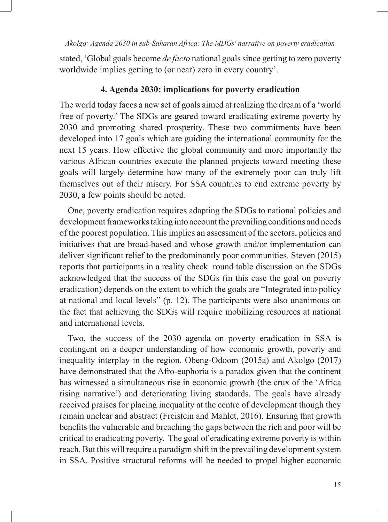stated, 'Global goals become *de facto* national goals since getting to zero poverty worldwide implies getting to (or near) zero in every country'.

### **4. Agenda 2030: implications for poverty eradication**

The world today faces a new set of goals aimed at realizing the dream of a 'world free of poverty.' The SDGs are geared toward eradicating extreme poverty by 2030 and promoting shared prosperity. These two commitments have been developed into 17 goals which are guiding the international community for the next 15 years. How effective the global community and more importantly the various African countries execute the planned projects toward meeting these goals will largely determine how many of the extremely poor can truly lift themselves out of their misery. For SSA countries to end extreme poverty by 2030, a few points should be noted.

One, poverty eradication requires adapting the SDGs to national policies and development frameworks taking into account the prevailing conditions and needs of the poorest population. This implies an assessment of the sectors, policies and initiatives that are broad-based and whose growth and/or implementation can deliver significant relief to the predominantly poor communities. Steven (2015) reports that participants in a reality check round table discussion on the SDGs acknowledged that the success of the SDGs (in this case the goal on poverty eradication) depends on the extent to which the goals are "Integrated into policy at national and local levels" (p. 12). The participants were also unanimous on the fact that achieving the SDGs will require mobilizing resources at national and international levels.

Two, the success of the 2030 agenda on poverty eradication in SSA is contingent on a deeper understanding of how economic growth, poverty and inequality interplay in the region. Obeng-Odoom (2015a) and Akolgo (2017) have demonstrated that the Afro-euphoria is a paradox given that the continent has witnessed a simultaneous rise in economic growth (the crux of the 'Africa rising narrative') and deteriorating living standards. The goals have already received praises for placing inequality at the centre of development though they remain unclear and abstract (Freistein and Mahlet, 2016). Ensuring that growth benefits the vulnerable and breaching the gaps between the rich and poor will be critical to eradicating poverty. The goal of eradicating extreme poverty is within reach. But this will require a paradigm shift in the prevailing development system in SSA. Positive structural reforms will be needed to propel higher economic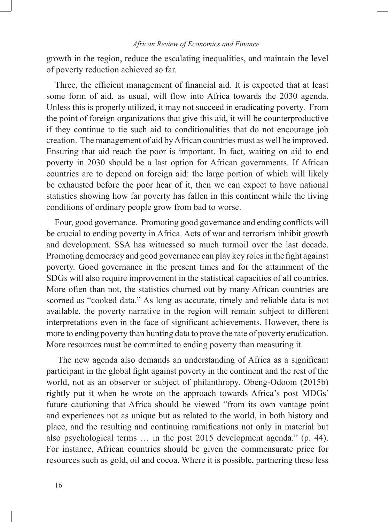growth in the region, reduce the escalating inequalities, and maintain the level of poverty reduction achieved so far.

Three, the efficient management of financial aid. It is expected that at least some form of aid, as usual, will flow into Africa towards the 2030 agenda. Unless this is properly utilized, it may not succeed in eradicating poverty. From the point of foreign organizations that give this aid, it will be counterproductive if they continue to tie such aid to conditionalities that do not encourage job creation. The management of aid by African countries must as well be improved. Ensuring that aid reach the poor is important. In fact, waiting on aid to end poverty in 2030 should be a last option for African governments. If African countries are to depend on foreign aid: the large portion of which will likely be exhausted before the poor hear of it, then we can expect to have national statistics showing how far poverty has fallen in this continent while the living conditions of ordinary people grow from bad to worse.

Four, good governance. Promoting good governance and ending conflicts will be crucial to ending poverty in Africa. Acts of war and terrorism inhibit growth and development. SSA has witnessed so much turmoil over the last decade. Promoting democracy and good governance can play key roles in the fight against poverty. Good governance in the present times and for the attainment of the SDGs will also require improvement in the statistical capacities of all countries. More often than not, the statistics churned out by many African countries are scorned as "cooked data." As long as accurate, timely and reliable data is not available, the poverty narrative in the region will remain subject to different interpretations even in the face of significant achievements. However, there is more to ending poverty than hunting data to prove the rate of poverty eradication. More resources must be committed to ending poverty than measuring it.

 The new agenda also demands an understanding of Africa as a significant participant in the global fight against poverty in the continent and the rest of the world, not as an observer or subject of philanthropy. Obeng-Odoom (2015b) rightly put it when he wrote on the approach towards Africa's post MDGs' future cautioning that Africa should be viewed "from its own vantage point and experiences not as unique but as related to the world, in both history and place, and the resulting and continuing ramifications not only in material but also psychological terms … in the post 2015 development agenda." (p. 44). For instance, African countries should be given the commensurate price for resources such as gold, oil and cocoa. Where it is possible, partnering these less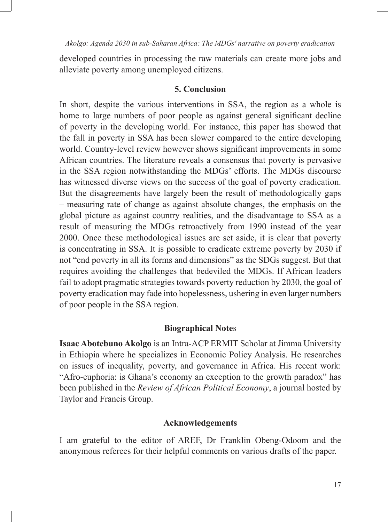developed countries in processing the raw materials can create more jobs and alleviate poverty among unemployed citizens.

# **5. Conclusion**

In short, despite the various interventions in SSA, the region as a whole is home to large numbers of poor people as against general significant decline of poverty in the developing world. For instance, this paper has showed that the fall in poverty in SSA has been slower compared to the entire developing world. Country-level review however shows significant improvements in some African countries. The literature reveals a consensus that poverty is pervasive in the SSA region notwithstanding the MDGs' efforts. The MDGs discourse has witnessed diverse views on the success of the goal of poverty eradication. But the disagreements have largely been the result of methodologically gaps – measuring rate of change as against absolute changes, the emphasis on the global picture as against country realities, and the disadvantage to SSA as a result of measuring the MDGs retroactively from 1990 instead of the year 2000. Once these methodological issues are set aside, it is clear that poverty is concentrating in SSA. It is possible to eradicate extreme poverty by 2030 if not "end poverty in all its forms and dimensions" as the SDGs suggest. But that requires avoiding the challenges that bedeviled the MDGs. If African leaders fail to adopt pragmatic strategies towards poverty reduction by 2030, the goal of poverty eradication may fade into hopelessness, ushering in even larger numbers of poor people in the SSA region.

## **Biographical Note**s

**Isaac Abotebuno Akolgo** is an Intra-ACP ERMIT Scholar at Jimma University in Ethiopia where he specializes in Economic Policy Analysis. He researches on issues of inequality, poverty, and governance in Africa. His recent work: "Afro-euphoria: is Ghana's economy an exception to the growth paradox" has been published in the *Review of African Political Economy*, a journal hosted by Taylor and Francis Group.

## **Acknowledgements**

I am grateful to the editor of AREF, Dr Franklin Obeng-Odoom and the anonymous referees for their helpful comments on various drafts of the paper.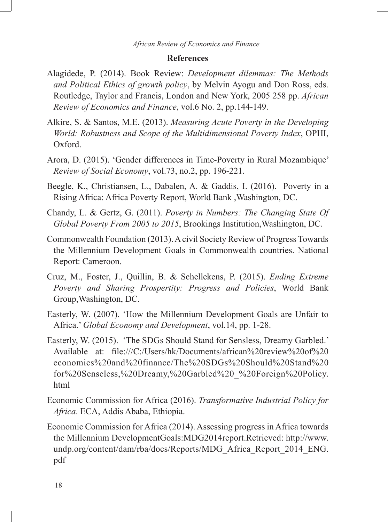### **References**

- Alagidede, P. (2014). Book Review: *Development dilemmas: The Methods and Political Ethics of growth policy*, by Melvin Ayogu and Don Ross, eds. Routledge, Taylor and Francis, London and New York, 2005 258 pp. *African Review of Economics and Finance*, vol.6 No. 2, pp.144-149.
- Alkire, S. & Santos, M.E. (2013). *Measuring Acute Poverty in the Developing World: Robustness and Scope of the Multidimensional Poverty Index*, OPHI, Oxford.
- Arora, D. (2015). 'Gender differences in Time-Poverty in Rural Mozambique' *Review of Social Economy*, vol.73, no.2, pp. 196-221.
- Beegle, K., Christiansen, L., Dabalen, A. & Gaddis, I. (2016). Poverty in a Rising Africa: Africa Poverty Report, World Bank ,Washington, DC.
- Chandy, L. & Gertz, G. (2011). *Poverty in Numbers: The Changing State Of Global Poverty From 2005 to 2015*, Brookings Institution,Washington, DC.
- Commonwealth Foundation (2013). A civil Society Review of Progress Towards the Millennium Development Goals in Commonwealth countries. National Report: Cameroon.
- Cruz, M., Foster, J., Quillin, B. & Schellekens, P. (2015). *Ending Extreme Poverty and Sharing Prospertity: Progress and Policies*, World Bank Group,Washington, DC.
- Easterly, W. (2007). 'How the Millennium Development Goals are Unfair to Africa.' *Global Economy and Development*, vol.14, pp. 1-28.
- Easterly, W. (2015). 'The SDGs Should Stand for Sensless, Dreamy Garbled.' Available at: file:///C:/Users/hk/Documents/african%20review%20of%20 economics%20and%20finance/The%20SDGs%20Should%20Stand%20 for%20Senseless,%20Dreamy,%20Garbled%20\_%20Foreign%20Policy. html
- Economic Commission for Africa (2016). *Transformative Industrial Policy for Africa*. ECA, Addis Ababa, Ethiopia.
- Economic Commission for Africa (2014). Assessing progress in Africa towards the Millennium DevelopmentGoals:MDG2014report.Retrieved: http://www. undp.org/content/dam/rba/docs/Reports/MDG\_Africa\_Report\_2014\_ENG. pdf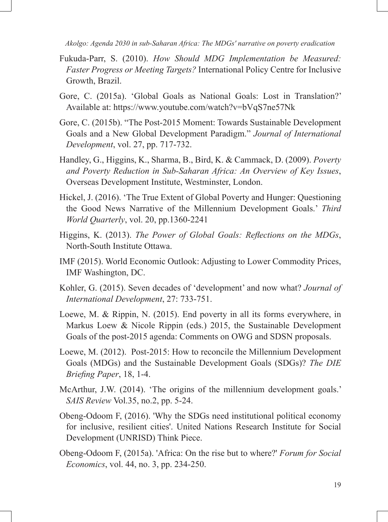- Fukuda-Parr, S. (2010). *How Should MDG Implementation be Measured: Faster Progress or Meeting Targets?* International Policy Centre for Inclusive Growth, Brazil.
- Gore, C. (2015a). 'Global Goals as National Goals: Lost in Translation?' Available at: https://www.youtube.com/watch?v=bVqS7ne57Nk
- Gore, C. (2015b). "The Post-2015 Moment: Towards Sustainable Development Goals and a New Global Development Paradigm." *Journal of International Development*, vol. 27, pp. 717-732.
- Handley, G., Higgins, K., Sharma, B., Bird, K. & Cammack, D. (2009). *Poverty and Poverty Reduction in Sub-Saharan Africa: An Overview of Key Issues*, Overseas Development Institute, Westminster, London.
- Hickel, J. (2016). 'The True Extent of Global Poverty and Hunger: Questioning the Good News Narrative of the Millennium Development Goals.' *Third World Quarterly*, vol. 20, pp.1360-2241
- Higgins, K. (2013). *The Power of Global Goals: Reflections on the MDGs*, North-South Institute Ottawa.
- IMF (2015). World Economic Outlook: Adjusting to Lower Commodity Prices, IMF Washington, DC.
- Kohler, G. (2015). Seven decades of 'development' and now what? *Journal of International Development*, 27: 733-751.
- Loewe, M. & Rippin, N. (2015). End poverty in all its forms everywhere, in Markus Loew & Nicole Rippin (eds.) 2015, the Sustainable Development Goals of the post-2015 agenda: Comments on OWG and SDSN proposals.
- Loewe, M. (2012). Post-2015: How to reconcile the Millennium Development Goals (MDGs) and the Sustainable Development Goals (SDGs)? *The DIE Briefing Paper*, 18, 1-4.
- McArthur, J.W. (2014). 'The origins of the millennium development goals.' *SAIS Review* Vol.35, no.2, pp. 5-24.
- Obeng-Odoom F, (2016). 'Why the SDGs need institutional political economy for inclusive, resilient cities'. United Nations Research Institute for Social Development (UNRISD) Think Piece.
- Obeng-Odoom F, (2015a). 'Africa: On the rise but to where?' *Forum for Social Economics*, vol. 44, no. 3, pp. 234-250.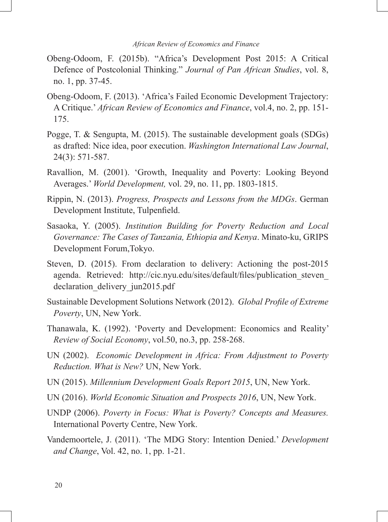- Obeng-Odoom, F. (2015b). "Africa's Development Post 2015: A Critical Defence of Postcolonial Thinking." *Journal of Pan African Studies*, vol. 8, no. 1, pp. 37-45.
- Obeng-Odoom, F. (2013). 'Africa's Failed Economic Development Trajectory: A Critique.' *African Review of Economics and Finance*, vol.4, no. 2, pp. 151- 175.
- Pogge, T. & Sengupta, M. (2015). The sustainable development goals (SDGs) as drafted: Nice idea, poor execution. *Washington International Law Journal*, 24(3): 571-587.
- Ravallion, M. (2001). 'Growth, Inequality and Poverty: Looking Beyond Averages.' *World Development,* vol. 29, no. 11, pp. 1803-1815.
- Rippin, N. (2013). *Progress, Prospects and Lessons from the MDGs*. German Development Institute, Tulpenfield.
- Sasaoka, Y. (2005). *Institution Building for Poverty Reduction and Local Governance: The Cases of Tanzania, Ethiopia and Kenya*. Minato-ku, GRIPS Development Forum,Tokyo.
- Steven, D. (2015). From declaration to delivery: Actioning the post-2015 agenda. Retrieved: http://cic.nyu.edu/sites/default/files/publication\_steven\_ declaration delivery jun2015.pdf
- Sustainable Development Solutions Network (2012). *Global Profile of Extreme Poverty*, UN, New York.
- Thanawala, K. (1992). 'Poverty and Development: Economics and Reality' *Review of Social Economy*, vol.50, no.3, pp. 258-268.
- UN (2002). *Economic Development in Africa: From Adjustment to Poverty Reduction. What is New?* UN, New York.
- UN (2015). *Millennium Development Goals Report 2015*, UN, New York.
- UN (2016). *World Economic Situation and Prospects 2016*, UN, New York.
- UNDP (2006). *Poverty in Focus: What is Poverty? Concepts and Measures.* International Poverty Centre, New York.
- Vandemoortele, J. (2011). 'The MDG Story: Intention Denied.' *Development and Change*, Vol. 42, no. 1, pp. 1-21.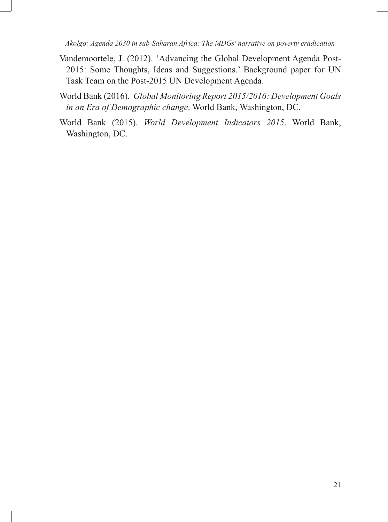- Vandemoortele, J. (2012). 'Advancing the Global Development Agenda Post-2015: Some Thoughts, Ideas and Suggestions.' Background paper for UN Task Team on the Post-2015 UN Development Agenda.
- World Bank (2016). *Global Monitoring Report 2015/2016: Development Goals in an Era of Demographic change*. World Bank, Washington, DC.
- World Bank (2015). *World Development Indicators 2015*. World Bank, Washington, DC.